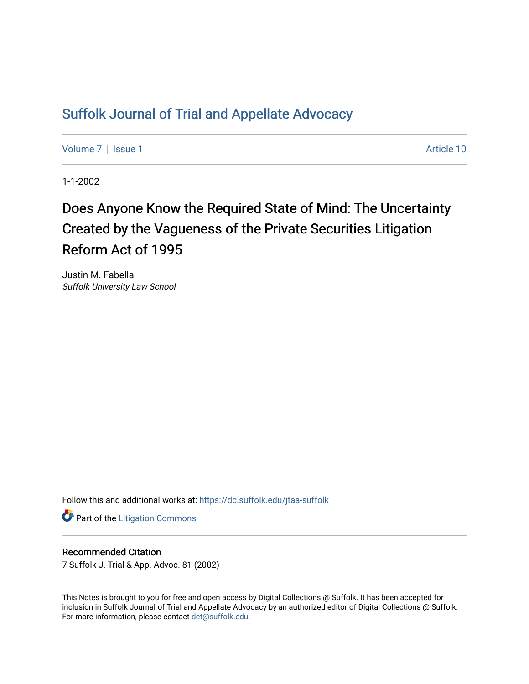## [Suffolk Journal of Trial and Appellate Advocacy](https://dc.suffolk.edu/jtaa-suffolk)

[Volume 7](https://dc.suffolk.edu/jtaa-suffolk/vol7) | [Issue 1](https://dc.suffolk.edu/jtaa-suffolk/vol7/iss1) Article 10

1-1-2002

# Does Anyone Know the Required State of Mind: The Uncertainty Created by the Vagueness of the Private Securities Litigation Reform Act of 1995

Justin M. Fabella Suffolk University Law School

Follow this and additional works at: [https://dc.suffolk.edu/jtaa-suffolk](https://dc.suffolk.edu/jtaa-suffolk?utm_source=dc.suffolk.edu%2Fjtaa-suffolk%2Fvol7%2Fiss1%2F10&utm_medium=PDF&utm_campaign=PDFCoverPages) 

**Part of the [Litigation Commons](https://network.bepress.com/hgg/discipline/910?utm_source=dc.suffolk.edu%2Fjtaa-suffolk%2Fvol7%2Fiss1%2F10&utm_medium=PDF&utm_campaign=PDFCoverPages)** 

#### Recommended Citation

7 Suffolk J. Trial & App. Advoc. 81 (2002)

This Notes is brought to you for free and open access by Digital Collections @ Suffolk. It has been accepted for inclusion in Suffolk Journal of Trial and Appellate Advocacy by an authorized editor of Digital Collections @ Suffolk. For more information, please contact [dct@suffolk.edu](mailto:dct@suffolk.edu).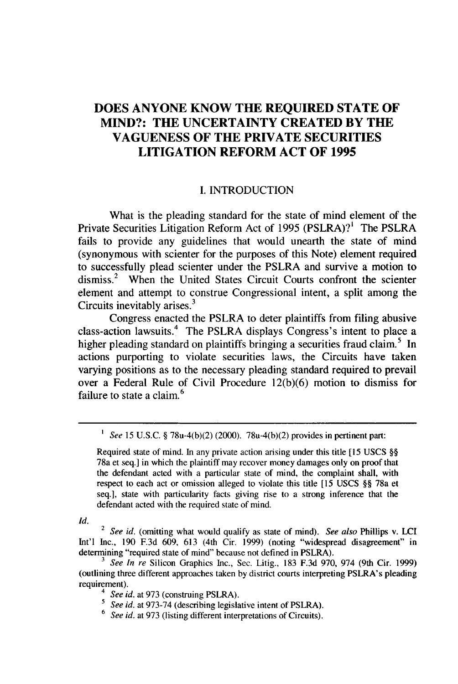### **DOES ANYONE KNOW THE REQUIRED STATE OF MIND?: THE UNCERTAINTY CREATED BY THE VAGUENESS OF THE PRIVATE SECURITIES LITIGATION REFORM ACT OF 1995**

#### **I. INTRODUCTION**

What is the pleading standard for the state of mind element of the Private Securities Litigation Reform Act of **1995** (PSLRA)?' The PSLRA fails to provide any guidelines that would unearth the state of mind (synonymous with scienter for the purposes of this Note) element required to successfully plead scienter under the PSLRA and survive a motion to dismiss.<sup>2</sup> When the United States Circuit Courts confront the scienter element and attempt to construe Congressional intent, a split among the Circuits inevitably arises. $3$ 

Congress enacted the PSLRA to deter plaintiffs from filing abusive class-action lawsuits.<sup>4</sup> The PSLRA displays Congress's intent to place a higher pleading standard on plaintiffs bringing a securities fraud claim.<sup>5</sup> In actions purporting to violate securities laws, the Circuits have taken varying positions as to the necessary pleading standard required to prevail over a Federal Rule of Civil Procedure **12(b)(6)** motion to dismiss for failure to state a claim.<sup>6</sup>

*1 See* 15 U.S.C. § 78u-4(b)(2) (2000). 78u-4(b)(2) provides in pertinent part:

Required state of mind. In any private action arising under this title **[15** USCS §§ 78a et seq.] in which the plaintiff may recover money damages only on proof that the defendant acted with a particular state of mind, the complaint shall, with respect to each act or omission alleged to violate this title [15 USCS §§ 78a et seq.], state with particularity facts giving rise to a strong inference that the defendant acted with the required state of mind.

*Id.*

<sup>2</sup>*See id.* (omitting what would qualify as state of mind). *See also* Phillips v. **LCI** Int'l Inc., 190 F.3d 609, 613 (4th Cir. 1999) (noting "widespread disagreement" in determining "required state of mind" because not defined in PSLRA).

*<sup>3</sup>See In re* Silicon Graphics Inc., Sec. Litig., 183 F.3d 970, 974 (9th Cir. 1999) (outlining three different approaches taken by district courts interpreting PSLRA's pleading requirement).

*<sup>4</sup> See id.* at 973 (construing PSLRA).

*<sup>5</sup>See id.* at 973-74 (describing legislative intent of PSLRA).

<sup>6</sup> *See id.* at 973 (listing different interpretations of Circuits).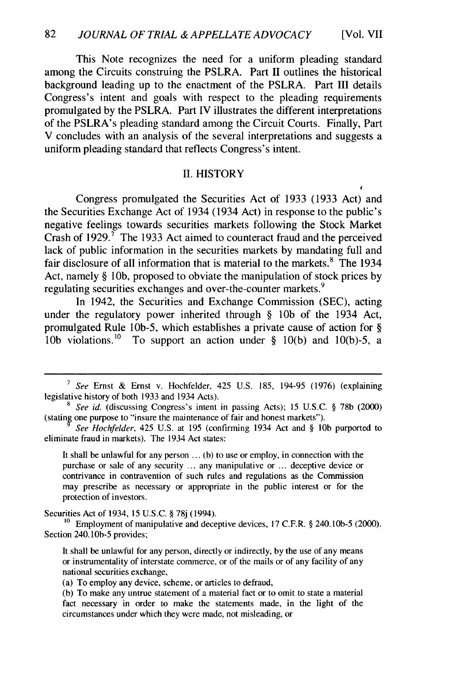This Note recognizes the need for a uniform pleading standard among the Circuits construing the PSLRA. Part II outlines the historical background leading up to the enactment of the PSLRA. Part III details Congress's intent and goals with respect to the pleading requirements promulgated by the PSLRA. Part IV illustrates the different interpretations of the PSLRA's pleading standard among the Circuit Courts. Finally, Part V concludes with an analysis of the several interpretations and suggests a uniform pleading standard that reflects Congress's intent.

#### II. HISTORY

Congress promulgated the Securities Act of 1933 (1933 Act) and the Securities Exchange Act of 1934 (1934 Act) in response to the public's negative feelings towards securities markets following the Stock Market Crash of 1929. $\tilde{7}$  The 1933 Act aimed to counteract fraud and the perceived lack of public information in the securities markets by mandating full and fair disclosure of all information that is material to the markets.<sup>8</sup> The 1934 Act, namely § **10b,** proposed to obviate the manipulation of stock prices by regulating securities exchanges and over-the-counter markets. <sup>9</sup>

In 1942, the Securities and Exchange Commission (SEC), acting under the regulatory power inherited through § **10b** of the 1934 Act, promulgated Rule lOb-5, which establishes a private cause of action for § 10b violations.<sup>10</sup> To support an action under  $\S$  10(b) and 10(b)-5, a

It shall be unlawful for any person  $\dots$  (b) to use or employ, in connection with the purchase or sale of any security ... any manipulative or ... deceptive device or contrivance in contravention of such rules and regulations as the Commission may prescribe as necessary or appropriate in the public interest or for the protection of investors.

Securities Act of 1934, 15 U.S.C. § 78j (1994).

**10** Employment of manipulative and deceptive devices, 17 C.F.R. § 240.10b-5 (2000). Section 240. **1Ob-5** provides;

It shall be unlawful for any person, directly or indirectly, by the use of any means or instrumentality of interstate commerce, or of the mails or of any facility of any national securities exchange,

<sup>&</sup>lt;sup>7</sup> See Ernst & Ernst v. Hochfelder, 425 U.S. 185, 194-95 (1976) (explaining legislative history of both 1933 and 1934 Acts).

<sup>&</sup>lt;sup>8</sup> See id. (discussing Congress's intent in passing Acts); 15 U.S.C. § 78b (2000) (stating one purpose to "insure the maintenance of fair and honest markets").

*See Hochfelder,* 425 U.S. at 195 (confirming 1934 Act and § **10b** purported to eliminate fraud in markets). The 1934 Act states:

<sup>(</sup>a) To employ any device, scheme, or articles to defraud,

<sup>(</sup>b) To make any untrue statement of a material fact or to omit to state a material fact necessary in order to make the statements made, in the light of the circumstances under which they were made, not misleading, or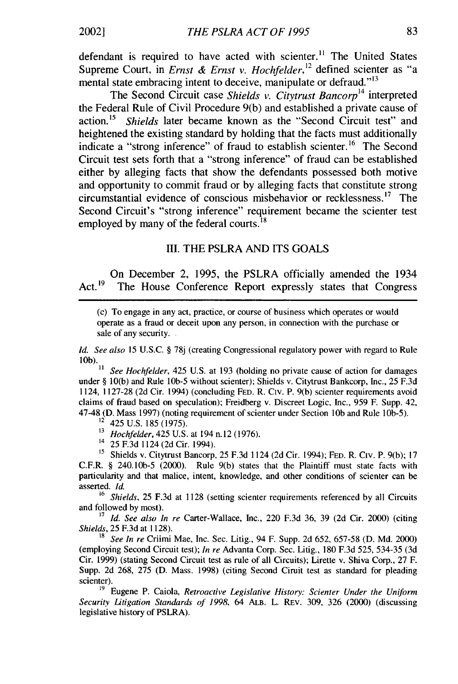defendant is required to have acted with scienter.<sup>11</sup> The United States Supreme Court, in *Ernst & Ernst v. Hochfelder,12* defined scienter as "a mental state embracing intent to deceive, manipulate or defraud."<sup>13</sup>

The Second Circuit case *Shields v. Citytrust Bancorp<sup>1</sup>4* interpreted the Federal Rule of Civil Procedure 9(b) and established a private cause of action. <sup>1</sup>5 *Shields* later became known as the "Second Circuit test" and heightened the existing standard by holding that the facts must additionally indicate a "strong inference" of fraud to establish scienter.<sup>16</sup> The Second Circuit test sets forth that a "strong inference" of fraud can be established either by alleging facts that show the defendants possessed both motive and opportunity to commit fraud or by alleging facts that constitute strong circumstantial evidence of conscious misbehavior or recklessness. <sup>1</sup>7 The Second Circuit's "strong inference" requirement became the scienter test employed by many of the federal courts.<sup>18</sup>

#### **III.** THE PSLRA AND ITS GOALS

On December 2, 1995, the PSLRA officially amended the 1934 Act.<sup>19</sup> The House Conference Report expressly states that Congress

(c) To engage in any act, practice, or course of business which operates or would operate as a fraud or deceit upon any person, in connection with the purchase or sale of any security.

*Id. See also* 15 U.S.C. § 78j (creating Congressional regulatory power with regard to Rule  $\frac{1}{10}$ b).<br> $\frac{1}{11}$ 

**11** *See Hochfelder,* 425 U.S. at 193 (holding no private cause of action for damages under § 10(b) and Rule **lOb-5** without scienter); Shields v. Citytrust Bankcorp, Inc., 25 F.3d 1124, 1127-28 (2d Cir. 1994) (concluding FED. R. Civ. P. 9(b) scienter requirements avoid claims of fraud based on speculation); Freidberg v. Discreet Logic, Inc., 959 F. Supp. 42, 47-48 (D. Mass 1997) (noting requirement of scienter under Section **lOb** and Rule 1Ob-5).

425 U.S. 185 (1975).

<sup>13</sup>*Hochfelder,* 425 U.S. at 194 n.12 (1976).

14 25 F.3d 1124(2dCir. 1994).

**<sup>15</sup>**Shields v. Citytrust Bancorp, 25 F.3d 1124 (2d Cir. 1994); FED. R. Civ. P. 9(b); 17 C.F.R. § 240.10b-5 (2000). Rule 9(b) states that the Plaintiff must state facts with particularity and that malice, intent, knowledge, and other conditions of scienter can be asserted. *Id.*

<sup>16</sup> Shields, 25 F.3d at 1128 (setting scienter requirements referenced by all Circuits and followed by most).

<sup>17</sup> Id. See also In re Carter-Wallace, Inc., 220 F.3d 36, 39 (2d Cir. 2000) (citing *Shields,* 25 F.3d at 1128).

<sup>18</sup>*See In re* Criimi Mae, Inc. Sec. Litig., 94 F. Supp. 2d 652, 657-58 (D. Md. 2000) (employing Second Circuit test); *In re* Advanta Corp. Sec. Litig., 180 F.3d 525, 534-35 (3d Cir. 1999) (stating Second Circuit test as rule of all Circuits); Lirette v. Shiva Corp., 27 F. Supp. 2d 268, 275 (D. Mass. 1998) (citing Second Ciruit test as standard for pleading scienter).

19 Eugene P. Caiola, *Retroactive Legislative History: Scienter Under the Uniform Security Litigation Standards of 1998,* 64 ALB. L. REv. 309, 326 (2000) (discussing legislative history of PSLRA).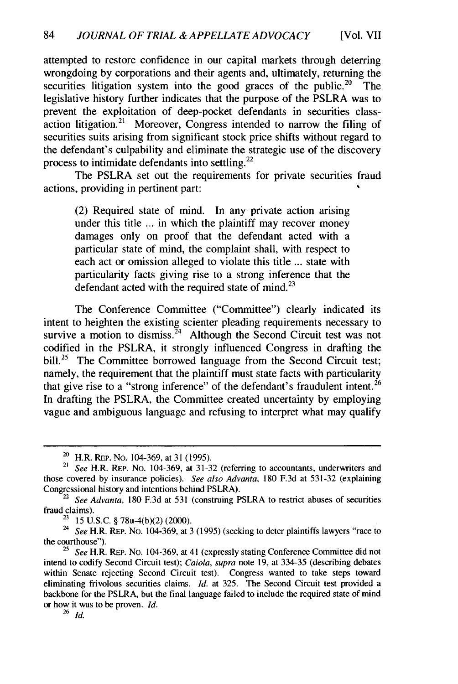attempted to restore confidence in our capital markets through deterring wrongdoing by corporations and their agents and, ultimately, returning the securities litigation system into the good graces of the public.<sup>20</sup> The legislative history further indicates that the purpose of the PSLRA was to prevent the exploitation of deep-pocket defendants in securities classaction litigation.<sup>21</sup> Moreover, Congress intended to narrow the filing of securities suits arising from significant stock price shifts without regard to the defendant's culpability and eliminate the strategic use of the discovery process to intimidate defendants into settling. <sup>22</sup>

The PSLRA set out the requirements for private securities fraud actions, providing in pertinent part:

(2) Required state of mind. In any private action arising under this title ... in which the plaintiff may recover money damages only on proof that the defendant acted with a particular state of mind, the complaint shall, with respect to each act or omission alleged to violate this title ... state with particularity facts giving rise to a strong inference that the defendant acted with the required state of mind. $^{23}$ 

The Conference Committee ("Committee") clearly indicated its intent to heighten the existing scienter pleading requirements necessary to survive a motion to dismiss.<sup>24</sup> Although the Second Circuit test was not codified in the PSLRA, it strongly influenced Congress in drafting the bill.<sup>25</sup> The Committee borrowed language from the Second Circuit test; namely, the requirement that the plaintiff must state facts with particularity that give rise to a "strong inference" of the defendant's fraudulent intent.<sup>26</sup> In drafting the PSLRA, the Committee created uncertainty by employing vague and ambiguous language and refusing to interpret what may qualify

<sup>26</sup>*id.*

<sup>20</sup> H.R. REP. No. 104-369, at **31** (1995).

<sup>21</sup> *See* H.R. REP. No. 104-369, at 31-32 (referring to accountants, underwriters and those covered by insurance policies). *See also Advanta,* 180 F.3d at 531-32 (explaining Congressional history and intentions behind PSLRA).

<sup>22</sup> *See Advanta,* 180 F.3d at 531 (construing PSLRA to restrict abuses of securities fraud claims).

 $23$  15 U.S.C. § 78u-4(b)(2) (2000).

*<sup>24</sup>See* H.R. REP. No. 104-369, at 3 (1995) (seeking to deter plaintiffs lawyers "race to the courthouse").

<sup>25</sup> *See* H.R. REP. No. 104-369, at 41 (expressly stating Conference Committee did not intend to codify Second Circuit test); *Caiola, supra* note 19, at 334-35 (describing debates within Senate rejecting Second Circuit test). Congress wanted to take steps toward eliminating frivolous securities claims. *Id.* at 325. The Second Circuit test provided a backbone for the PSLRA, but the final language failed to include the required state of mind or how it was to be proven. *Id.*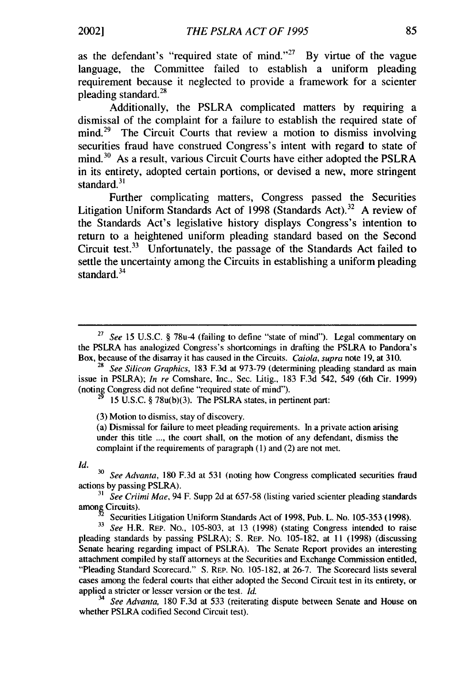as the defendant's "required state of mind."<sup>27</sup> By virtue of the vague language, the Committee failed to establish a uniform pleading requirement because it neglected to provide a framework for a scienter pleading standard. $^{28}$ 

Additionally, the PSLRA complicated matters by requiring a dismissal of the complaint for a failure to establish the required state of  $mind<sup>29</sup>$  The Circuit Courts that review a motion to dismiss involving securities fraud have construed Congress's intent with regard to state of mind.<sup>30</sup> As a result, various Circuit Courts have either adopted the PSLRA in its entirety, adopted certain portions, or devised a new, more stringent standard. $31$ 

Further complicating matters, Congress passed the Securities Litigation Uniform Standards Act of 1998 (Standards Act).<sup>32</sup> A review of the Standards Act's legislative history displays Congress's intention to return to a heightened uniform pleading standard based on the Second Circuit test.<sup>33</sup> Unfortunately, the passage of the Standards Act failed to settle the uncertainty among the Circuits in establishing a uniform pleading standard<sup>34</sup>

15 U.S.C. § 78u(b)(3). The PSLRA states, in pertinent part:

(3) Motion to dismiss, stay of discovery.

(a) Dismissal for failure to meet pleading requirements. In a private action arising under this title .... the court shall, on the motion of any defendant, dismiss the complaint if the requirements of paragraph (1) and (2) are not met.

**Id.**

**<sup>30</sup>***See Advanta,* 180 F.3d at 531 (noting how Congress complicated securities fraud actions by passing PSLRA).

**<sup>31</sup>***See Criimi Mae,* 94 F. Supp 2d at 657-58 (listing varied scienter pleading standards among Circuits).

<sup>2</sup>Securities Litigation Uniform Standards Act of 1998, Pub. L. No. 105-353 (1998).

**33** *See* H.R. REP. No., 105-803, at 13 (1998) (stating Congress intended to raise pleading standards by passing PSLRA); S. REP. No. 105-182, at 11 (1998) (discussing Senate hearing regarding impact of PSLRA). The Senate Report provides an interesting attachment compiled by staff attorneys at the Securities and Exchange Commission entitled, "Pleading Standard Scorecard." S. REP. No. 105-182, at 26-7. The Scorecard lists several cases among the federal courts that either adopted the Second Circuit test in its entirety, or applied a stricter or lesser version or the test. *Id.*

<sup>34</sup>*See Advanta,* 180 F.3d at 533 (reiterating dispute between Senate and House on whether PSLRA codified Second Circuit test).

*<sup>27</sup>See* 15 U.S.C. § 78u-4 (failing to define "state of mind"). Legal commentary on the PSLRA has analogized Congress's shortcomings in drafting the PSLRA to Pandora's Box, because of the disarray it has caused in the Circuits. *Caiola,* supra note 19, at 310.

**<sup>28</sup>***See Silicon Graphics,* 183 F.3d at 973-79 (determining pleading standard as main issue in PSLRA); *In re* Comshare, Inc., Sec. Litig., 183 F.3d 542, 549 (6th Cir. 1999) (noting Congress did not define "required state of mind").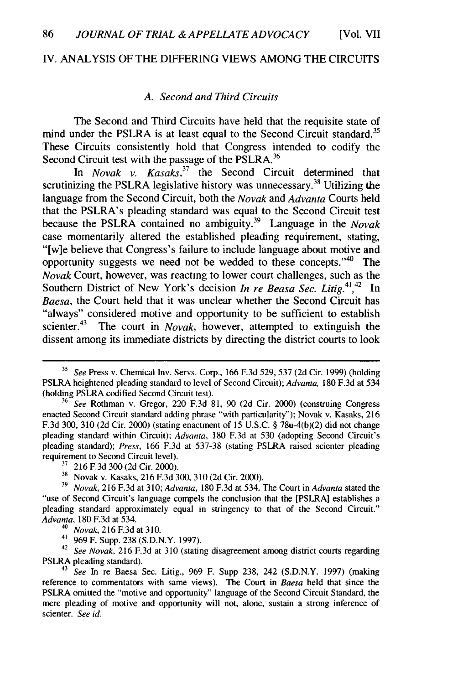#### IV. ANALYSIS OF THE DIFFERING VIEWS AMONG THE CIRCUITS

#### *A. Second and Third Circuits*

The Second and Third Circuits have held that the requisite state of mind under the PSLRA is at least equal to the Second Circuit standard.<sup>35</sup> These Circuits consistently hold that Congress intended to codify the Second Circuit test with the passage of the PSLRA. $36$ 

In *Novak v. Kasaks*,<sup>37</sup> the Second Circuit determined that scrutinizing the PSLRA legislative history was unnecessary.<sup>38</sup> Utilizing the language from the Second Circuit, both the *Novak* and *Advanta* Courts held that the PSLRA's pleading standard was equal to the Second Circuit test because the PSLRA contained no ambiguity.<sup>39</sup> Language in the *Novak* case momentarily altered the established pleading requirement, stating, "[w]e believe that Congress's failure to include language about motive and opportunity suggests we need not be wedded to these concepts." $40$  The *Novak* Court, however, was reacting to lower court challenges, such as the Southern District of New York's decision *In re Beasa Sec. Litig.*<sup>41,42</sup> In *Baesa,* the Court held that it was unclear whether the Second Circuit has "always" considered motive and opportunity to be sufficient to establish scienter.<sup>43</sup> The court in *Novak*, however, attempted to extinguish the The court in *Novak*, however, attempted to extinguish the dissent among its immediate districts by directing the district courts to look

**<sup>35</sup>***See* Press v. Chemical Inv. Servs. Corp., 166 F.3d 529, 537 (2d Cir. 1999) (holding PSLRA heightened pleading standard to level of Second Circuit); *Advanta,* 180 F.3d at 534 (holding PSLRA codified Second Circuit test).

**<sup>36</sup>***See* Rothman v. Gregor, 220 F.3d 81, 90 (2d Cir. 2000) (construing Congress enacted Second Circuit standard adding phrase "with particularity"); Novak v. Kasaks, 216 F.3d 300, 310 (2d Cir. 2000) (stating enactment of 15 U.S.C. § 78u-4(b)(2) did not change pleading standard within Circuit); *Advanta,* 180 F.3d at 530 (adopting Second Circuit's pleading standard); *Press,* 166 F.3d at 537-38 (stating PSLRA raised scienter pleading requirement to Second Circuit level).

**<sup>17</sup>**216 F.3d 300 (2d Cir. 2000).

<sup>&</sup>lt;sup>38</sup> Novak v. Kasaks, 216 F.3d 300, 310 (2d Cir. 2000).

**<sup>39</sup>***Novak,* 216 F.3d at 310; *Advanta,* 180 F.3d at 534. The Court in *Advanta* stated the "use of Second Circuit's language compels the conclusion that the [PSLRA] establishes a pleading standard approximately equal in stringency to that of the Second Circuit." *Advanta,* 180 F.3d at 534.

<sup>40</sup>*Novak,* 216F.3dat **310.**

<sup>41</sup> 969 F. Supp. 238 (S.D.N.Y. 1997).

<sup>42</sup>*See Novak,* 216 F.3d at 310 (stating disagreement among district courts regarding PSLRA pleading standard).

<sup>43</sup>*See* In re Baesa Sec. Litig., 969 F. Supp 238, 242 (S.D.N.Y. 1997) (making reference to commentators with same views). The Court in *Baesa* held that since the PSLRA omitted the "motive and opportunity" language of the Second Circuit Standard, the mere pleading of motive and opportunity will not, alone, sustain a strong inference of scienter. *See id.*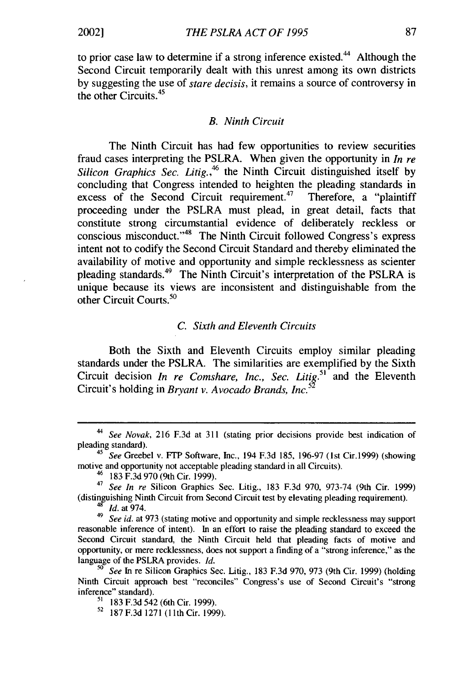to prior case law to determine if a strong inference existed.<sup>44</sup> Although the Second Circuit temporarily dealt with this unrest among its own districts by suggesting the use of *stare decisis,* it remains a source of controversy in the other Circuits.<sup>45</sup>

#### *B. Ninth Circuit*

The Ninth Circuit has had few opportunities to review securities fraud cases interpreting the PSLRA. When given the opportunity in *In re* Silicon Graphics Sec. Litig.,<sup>46</sup> the Ninth Circuit distinguished itself by concluding that Congress intended to heighten the pleading standards in excess of the Second Circuit requirement.<sup>47</sup> Therefore, a "plaintiff" excess of the Second Circuit requirement. $47$ proceeding under the PSLRA must plead, in great detail, facts that constitute strong circumstantial evidence of deliberately reckless or conscious misconduct." $48$  The Ninth Circuit followed Congress's express intent not to codify the Second Circuit Standard and thereby eliminated the availability of motive and opportunity and simple recklessness as scienter pleading standards.49 The Ninth Circuit's interpretation of the PSLRA is unique because its views are inconsistent and distinguishable from the other Circuit Courts.<sup>50</sup>

#### *C. Sixth and Eleventh Circuits*

Both the Sixth and Eleventh Circuits employ similar pleading standards under the PSLRA. The similarities are exemplified by the Sixth Circuit decision *In re Comshare, Inc., Sec. Litig.*<sup>51</sup> and the Eleventh Circuit's holding in *Bryant v. Avocado Brands, Inc.<sup>5</sup> <sup>2</sup>*

<sup>44</sup>*See Novak,* 216 F.3d at 311 (stating prior decisions provide best indication of pleading standard).

<sup>45</sup>*See* Greebel v. FTP Software, Inc., 194 F.3d 185, 196-97 (1st Cir.1999) (showing motive and opportunity not acceptable pleading standard in all Circuits).

<sup>&</sup>lt;sup>46</sup> 183 F.3d 970 (9th Cir. 1999).

<sup>47</sup>*See In re* Silicon Graphics Sec. Litig., 183 F.3d 970, 973-74 (9th Cir. 1999) (distinguishing Ninth Circuit from Second Circuit test by elevating pleading requirement).  $^{48}$  *Id.* at 974.

<sup>&</sup>lt;sup>49</sup> See id. at 973 (stating motive and opportunity and simple recklessness may support reasonable inference of intent). In an effort to raise the pleading standard to exceed the Second Circuit standard, the Ninth Circuit held that pleading facts of motive and opportunity, or mere recklessness, does not support a finding of a "strong inference," as the language of the PSLRA provides. *Id.*

**<sup>50</sup>** *See* In re Silicon Graphics Sec. Litig., 183 F.3d 970, 973 (9th Cir. 1999) (holding Ninth Circuit approach best "reconciles" Congress's use of Second Circuit's "strong inference" standard).

**<sup>51</sup>** 183 F.3d 542 (6th Cir. 1999).

<sup>52</sup> 187 F.3d 1271 **(11th** Cir. 1999).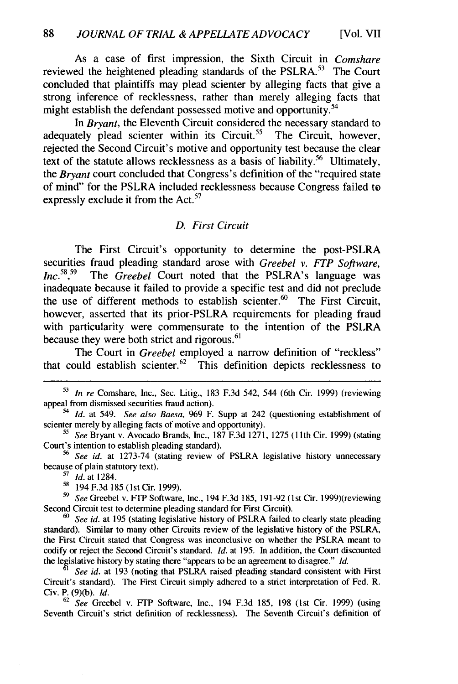As a case of first impression, the Sixth Circuit in *Comshare* reviewed the heightened pleading standards of the PSLRA. $53$  The Court concluded that plaintiffs may plead scienter by alleging facts that give a strong inference of recklessness, rather than merely alleging facts that might establish the defendant possessed motive and opportunity.<sup>54</sup>

In Brvant, the Eleventh Circuit considered the necessary standard to adequately plead scienter within its Circuit.<sup>55</sup> The Circuit, however, rejected the Second Circuit's motive and opportunity test because the clear text of the statute allows recklessness as a basis of liability.<sup>56</sup> Ultimately, the *Bryant* court concluded that Congress's definition of the "required state" of mind" for the PSLRA included recklessness because Congress failed to expressly exclude it from the  $Act.^{57}$ 

#### *D. First Circuit*

The First Circuit's opportunity to determine the post-PSLRA securities fraud pleading standard arose with *Greebel v. FTP Software, Inc.<sup>58</sup> ,* The *Greebel* Court noted that the PSLRA's language was inadequate because it failed to provide a specific test and did not preclude the use of different methods to establish scienter.<sup>60</sup> The First Circuit however, asserted that its prior-PSLRA requirements for pleading fraud with particularity were commensurate to the intention of the PSLRA because they were both strict and rigorous.<sup>61</sup>

The Court in *Greebel* employed a narrow definition of "reckless" that could establish scienter.<sup>62</sup> This definition depicts recklessness to

**<sup>53</sup>***In re* Comshare, Inc., Sec. Litig., 183 F.3d 542, 544 (6th Cir. 1999) (reviewing appeal from dismissed securities fraud action).

*<sup>54</sup>Id.* at 549. *See also Baesa,* 969 F. Supp at 242 (questioning establishment of scienter merely by alleging facts of motive and opportunity).

**<sup>55</sup>***See* Bryant v. Avocado Brands, Inc., 187 F.3d 1271, 1275 (1 1th Cir. 1999) (stating Court's intention to establish pleading standard).

*<sup>56</sup>See id.* at 1273-74 (stating review of PSLRA legislative history unnecessary because of plain statutory text).

*<sup>17</sup>Id.* at 1284.

<sup>&</sup>lt;sup>58</sup> 194 F.3d 185 (1st Cir. 1999).

*<sup>59</sup>See* Greebel v. FTP Software, Inc., 194 F.3d 185, 191-92 (1st Cir. 1999)(reviewing Second Circuit test to determine pleading standard for First Circuit).

*<sup>60</sup>See id.* at 195 (stating legislative history of PSLRA failed to clearly state pleading standard). Similar to many other Circuits review of the legislative history of the PSLRA, the First Circuit stated that Congress was inconclusive on whether the PSLRA meant to codify or reject the Second Circuit's standard. *Id.* at 195. In addition, the Court discounted the legislative history by stating there "appears to be an agreement to disagree." *Id.*

*See id.* at 193 (noting that PSLRA raised pleading standard consistent with First Circuit's standard). The First Circuit simply adhered to a strict interpretation of Fed. R. Civ. P. **(9)(b).** *Id.*

<sup>62</sup>*See* Greebel v. FTP Software, Inc., 194 F.3d 185, 198 (1st Cir. 1999) (using Seventh Circuit's strict definition of recklessness). The Seventh Circuit's definition of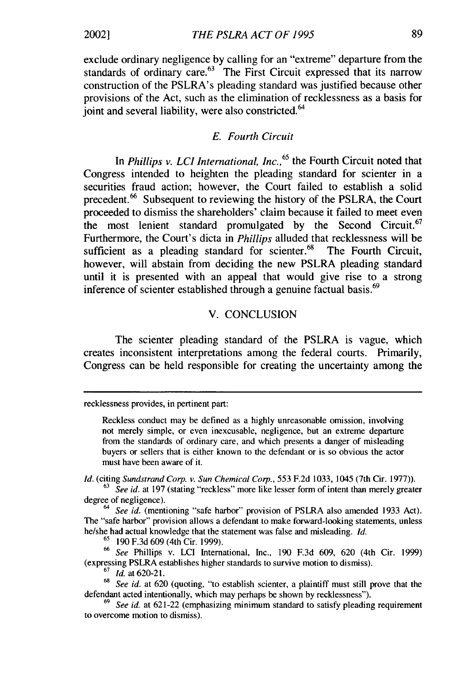exclude ordinary negligence by calling for an "extreme" departure from the standards of ordinary care. $^{63}$  The First Circuit expressed that its narrow construction of the PSLRA's pleading standard was justified because other provisions of the Act, such as the elimination of recklessness as a basis for ioint and several liability, were also constricted.<sup>64</sup>

#### *E. Fourth Circuit*

In *Phillips v. LCI International, Inc.*<sup>65</sup> the Fourth Circuit noted that Congress intended to heighten the pleading standard for scienter in a securities fraud action; however, the Court failed to establish a solid precedent.<sup>66</sup> Subsequent to reviewing the history of the PSLRA, the Court proceeded to dismiss the shareholders' claim because it failed to meet even the most lenient standard promulgated by the Second Circuit.<sup>67</sup> Furthermore, the Court's dicta in *Phillips* alluded that recklessness will be sufficient as a pleading standard for scienter.<sup>68</sup> The Fourth Circuit, however, will abstain from deciding the new PSLRA pleading standard until it is presented with an appeal that would give rise to a strong inference of scienter established through a genuine factual basis.<sup>69</sup>

#### V. CONCLUSION

The scienter pleading standard of the PSLRA is vague, which creates inconsistent interpretations among the federal courts. Primarily, Congress can be held responsible for creating the uncertainty among the

*Id.* (citing *Sundstrand Corp. v. Sun Chemical Corp.,* 553 F.2d 1033, 1045 (7th Cir. 1977)).

*<sup>64</sup>See id.* (mentioning "safe harbor" provision of PSLRA also amended 1933 Act). The "safe harbor" provision allows a defendant to make forward-looking statements, unless he/she had actual knowledge that the statement was false and misleading. *Id.*

 $^{65}$  190 F.3d 609 (4th Cir. 1999).

*<sup>66</sup>See* Phillips v. LCI International, Inc., 190 F.3d 609, 620 (4th Cir. 1999) (expressing PSLRA establishes higher standards to survive motion to dismiss).

<sup>67</sup>*Id.* at 620-21.

recklessness provides, in pertinent part:

Reckless conduct may be defined as a highly unreasonable omission, involving not merely simple, or even inexcusable, negligence, but an extreme departure from the standards of ordinary care, and which presents a danger of misleading buyers or sellers that is either known to the defendant or is so obvious the actor must have been aware of it.

<sup>&</sup>lt;sup>63</sup> See id. at 197 (stating "reckless" more like lesser form of intent than merely greater degree of negligence).

<sup>&</sup>lt;sup>68</sup> *See id.* at 620 (quoting, "to establish scienter, a plaintiff must still prove that the defendant acted intentionally, which may perhaps be shown by recklessness").

**<sup>69</sup>***See id.* at 621-22 (emphasizing minimum standard to satisfy pleading requirement to overcome motion to dismiss).